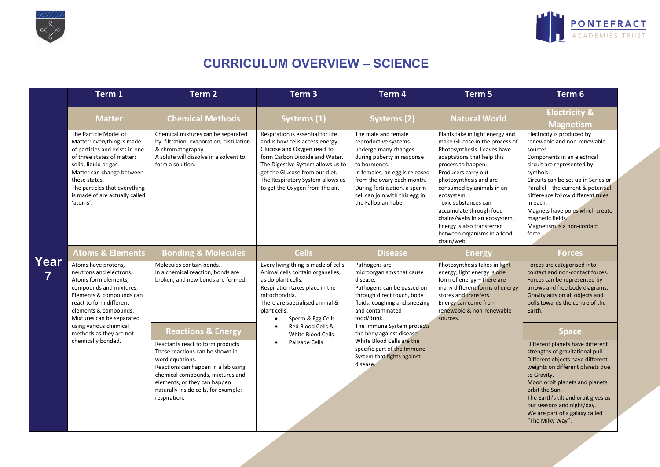



## **CURRICULUM OVERVIEW – SCIENCE**

|           | Term 1                                                                                                                                                                                                                                                                    | Term <sub>2</sub>                                                                                                                                                                                                                                                                           | Term <sub>3</sub>                                                                                                                                                                                                                                                                   | Term 4                                                                                                                                                                                                                                                                      | Term 5                                                                                                                                                                                                                                                                                                                                                                                                         | Term <sub>6</sub>                                                                                                                                                                                                                                                                                                                                                           |
|-----------|---------------------------------------------------------------------------------------------------------------------------------------------------------------------------------------------------------------------------------------------------------------------------|---------------------------------------------------------------------------------------------------------------------------------------------------------------------------------------------------------------------------------------------------------------------------------------------|-------------------------------------------------------------------------------------------------------------------------------------------------------------------------------------------------------------------------------------------------------------------------------------|-----------------------------------------------------------------------------------------------------------------------------------------------------------------------------------------------------------------------------------------------------------------------------|----------------------------------------------------------------------------------------------------------------------------------------------------------------------------------------------------------------------------------------------------------------------------------------------------------------------------------------------------------------------------------------------------------------|-----------------------------------------------------------------------------------------------------------------------------------------------------------------------------------------------------------------------------------------------------------------------------------------------------------------------------------------------------------------------------|
|           | <b>Matter</b>                                                                                                                                                                                                                                                             | <b>Chemical Methods</b>                                                                                                                                                                                                                                                                     | Systems (1)                                                                                                                                                                                                                                                                         | Systems (2)                                                                                                                                                                                                                                                                 | <b>Natural World</b>                                                                                                                                                                                                                                                                                                                                                                                           | <b>Electricity &amp;</b><br><b>Magnetism</b>                                                                                                                                                                                                                                                                                                                                |
|           | The Particle Model of<br>Matter: everything is made<br>of particles and exists in one<br>of three states of matter:<br>solid, liquid or gas.<br>Matter can change between<br>these states.<br>The particles that everything<br>is made of are actually called<br>'atoms'. | Chemical mixtures can be separated<br>by: filtration, evaporation, distillation<br>& chromatography.<br>A solute will dissolve in a solvent to<br>form a solution.                                                                                                                          | Respiration is essential for life<br>and is how cells access energy.<br>Glucose and Oxygen react to<br>form Carbon Dioxide and Water.<br>The Digestive System allows us to<br>get the Glucose from our diet.<br>The Respiratory System allows us<br>to get the Oxygen from the air. | The male and female<br>reproductive systems<br>undergo many changes<br>during puberty in response<br>to hormones.<br>In females, an egg is released<br>from the ovary each month.<br>During fertilisation, a sperm<br>cell can join with this egg in<br>the Fallopian Tube. | Plants take in light energy and<br>make Glucose in the process of<br>Photosynthesis. Leaves have<br>adaptations that help this<br>process to happen.<br>Producers carry out<br>photosynthesis and are<br>consumed by animals in an<br>ecosystem.<br>Toxic substances can<br>accumulate through food<br>chains/webs in an ecosystem.<br>Energy is also transferred<br>between organisms in a food<br>chain/web. | Electricity is produced by<br>renewable and non-renewable<br>sources.<br>Components in an electrical<br>circuit are represented by<br>symbols.<br>Circuits can be set up in Series or<br>Parallel - the current & potential<br>difference follow different rules<br>in each.<br>Magnets have poles which create<br>magnetic fields.<br>Magnetism is a non-contact<br>force. |
|           | <b>Atoms &amp; Elements</b>                                                                                                                                                                                                                                               | <b>Bonding &amp; Molecules</b>                                                                                                                                                                                                                                                              | <b>Cells</b>                                                                                                                                                                                                                                                                        | <b>Disease</b>                                                                                                                                                                                                                                                              | <b>Energy</b>                                                                                                                                                                                                                                                                                                                                                                                                  | <b>Forces</b>                                                                                                                                                                                                                                                                                                                                                               |
| Year<br>7 | Atoms have protons,<br>neutrons and electrons.<br>Atoms form elements,<br>compounds and mixtures.<br>Elements & compounds can<br>react to form different<br>elements & compounds.<br>Mixtures can be separated                                                            | Molecules contain bonds.<br>In a chemical reaction, bonds are<br>broken, and new bonds are formed.                                                                                                                                                                                          | Every living thing is made of cells.<br>Animal cells contain organelles,<br>as do plant cells.<br>Respiration takes place in the<br>mitochondria.<br>There are specialised animal &<br>plant cells:<br>Sperm & Egg Cells                                                            | Pathogens are<br>microorganisms that cause<br>disease.<br>Pathogens can be passed on<br>through direct touch, body<br>fluids, coughing and sneezing<br>and contaminated<br>food/drink.                                                                                      | Photosynthesis takes in light<br>energy; light energy is one<br>form of energy - there are<br>many different forms of energy<br>stores and transfers.<br>Energy can come from<br>renewable & non-renewable<br>sources.                                                                                                                                                                                         | Forces are categorised into<br>contact and non-contact forces.<br>Forces can be represented by<br>arrows and free body diagrams.<br>Gravity acts on all objects and<br>pulls towards the centre of the<br>Earth.                                                                                                                                                            |
|           | using various chemical<br>methods as they are not<br>chemically bonded.                                                                                                                                                                                                   | <b>Reactions &amp; Energy</b><br>Reactants react to form products.<br>These reactions can be shown in<br>word equations.<br>Reactions can happen in a lab using<br>chemical compounds, mixtures and<br>elements, or they can happen<br>naturally inside cells, for example:<br>respiration. | Red Blood Cells &<br>White Blood Cells<br>Palisade Cells<br>$\bullet$                                                                                                                                                                                                               | The Immune System protects<br>the body against disease.<br>White Blood Cells are the<br>specific part of the Immune<br>System that fights against<br>disease.                                                                                                               |                                                                                                                                                                                                                                                                                                                                                                                                                | <b>Space</b><br>Different planets have different<br>strengths of gravitational pull.<br>Different objects have different<br>weights on different planets due<br>to Gravity.<br>Moon orbit planets and planets<br>orbit the Sun.<br>The Earth's tilt and orbit gives us<br>our seasons and night/day.<br>We are part of a galaxy called<br>"The Milky Way".                  |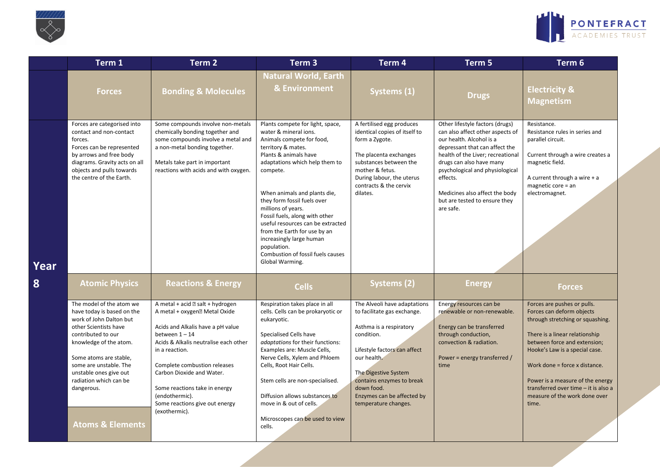



|      | Term 1                                                                                                                                                                                                                                                                                                          | Term <sub>2</sub>                                                                                                                                                                                                                                                                                                                                                    | Term <sub>3</sub>                                                                                                                                                                                                                                                                                                                                                                                                                                                                  | Term 4                                                                                                                                                                                                                                                                       | Term 5                                                                                                                                                                                                                                                                                                                            | Term 6                                                                                                                                                                                                                                                                                                                                                  |
|------|-----------------------------------------------------------------------------------------------------------------------------------------------------------------------------------------------------------------------------------------------------------------------------------------------------------------|----------------------------------------------------------------------------------------------------------------------------------------------------------------------------------------------------------------------------------------------------------------------------------------------------------------------------------------------------------------------|------------------------------------------------------------------------------------------------------------------------------------------------------------------------------------------------------------------------------------------------------------------------------------------------------------------------------------------------------------------------------------------------------------------------------------------------------------------------------------|------------------------------------------------------------------------------------------------------------------------------------------------------------------------------------------------------------------------------------------------------------------------------|-----------------------------------------------------------------------------------------------------------------------------------------------------------------------------------------------------------------------------------------------------------------------------------------------------------------------------------|---------------------------------------------------------------------------------------------------------------------------------------------------------------------------------------------------------------------------------------------------------------------------------------------------------------------------------------------------------|
|      | <b>Forces</b>                                                                                                                                                                                                                                                                                                   | <b>Bonding &amp; Molecules</b>                                                                                                                                                                                                                                                                                                                                       | <b>Natural World, Earth</b><br>& Environment                                                                                                                                                                                                                                                                                                                                                                                                                                       | Systems (1)                                                                                                                                                                                                                                                                  | <b>Drugs</b>                                                                                                                                                                                                                                                                                                                      | <b>Electricity &amp;</b><br><b>Magnetism</b>                                                                                                                                                                                                                                                                                                            |
| Year | Forces are categorised into<br>contact and non-contact<br>forces.<br>Forces can be represented<br>by arrows and free body<br>diagrams. Gravity acts on all<br>objects and pulls towards<br>the centre of the Earth.                                                                                             | Some compounds involve non-metals<br>chemically bonding together and<br>some compounds involve a metal and<br>a non-metal bonding together.<br>Metals take part in important<br>reactions with acids and with oxygen.                                                                                                                                                | Plants compete for light, space,<br>water & mineral ions.<br>Animals compete for food,<br>territory & mates.<br>Plants & animals have<br>adaptations which help them to<br>compete.<br>When animals and plants die,<br>they form fossil fuels over<br>millions of years.<br>Fossil fuels, along with other<br>useful resources can be extracted<br>from the Earth for use by an<br>increasingly large human<br>population.<br>Combustion of fossil fuels causes<br>Global Warming. | A fertilised egg produces<br>identical copies of itself to<br>form a Zygote.<br>The placenta exchanges<br>substances between the<br>mother & fetus.<br>During labour, the uterus<br>contracts & the cervix<br>dilates.                                                       | Other lifestyle factors (drugs)<br>can also affect other aspects of<br>our health. Alcohol is a<br>depressant that can affect the<br>health of the Liver; recreational<br>drugs can also have many<br>psychological and physiological<br>effects.<br>Medicines also affect the body<br>but are tested to ensure they<br>are safe. | Resistance.<br>Resistance rules in series and<br>parallel circuit.<br>Current through a wire creates a<br>magnetic field.<br>A current through a wire $+ a$<br>magnetic core = an<br>electromagnet.                                                                                                                                                     |
| 8    | <b>Atomic Physics</b>                                                                                                                                                                                                                                                                                           | <b>Reactions &amp; Energy</b>                                                                                                                                                                                                                                                                                                                                        | <b>Cells</b>                                                                                                                                                                                                                                                                                                                                                                                                                                                                       | Systems (2)                                                                                                                                                                                                                                                                  | <b>Energy</b>                                                                                                                                                                                                                                                                                                                     | <b>Forces</b>                                                                                                                                                                                                                                                                                                                                           |
|      | The model of the atom we<br>have today is based on the<br>work of John Dalton but<br>other Scientists have<br>contributed to our<br>knowledge of the atom.<br>Some atoms are stable,<br>some are unstable. The<br>unstable ones give out<br>radiation which can be<br>dangerous.<br><b>Atoms &amp; Elements</b> | A metal + acid 2 salt + hydrogen<br>A metal + oxygen <sup>®</sup> Metal Oxide<br>Acids and Alkalis have a pH value<br>between $1 - 14$<br>Acids & Alkalis neutralise each other<br>in a reaction.<br>Complete combustion releases<br>Carbon Dioxide and Water.<br>Some reactions take in energy<br>(endothermic).<br>Some reactions give out energy<br>(exothermic). | Respiration takes place in all<br>cells. Cells can be prokaryotic or<br>eukaryotic.<br>Specialised Cells have<br>adaptations for their functions:<br>Examples are: Muscle Cells,<br>Nerve Cells, Xylem and Phloem<br>Cells, Root Hair Cells.<br>Stem cells are non-specialised.<br>Diffusion allows substances to<br>move in & out of cells.<br>Microscopes can be used to view<br>cells.                                                                                          | The Alveoli have adaptations<br>to facilitate gas exchange.<br>Asthma is a respiratory<br>condition.<br>Lifestyle factors can affect<br>our health.<br>The Digestive System<br>contains enzymes to break<br>down food.<br>Enzymes can be affected by<br>temperature changes. | Energy resources can be<br>renewable or non-renewable.<br>Energy can be transferred<br>through conduction,<br>convection & radiation.<br>Power = energy transferred /<br>time                                                                                                                                                     | Forces are pushes or pulls.<br>Forces can deform objects<br>through stretching or squashing.<br>There is a linear relationship<br>between force and extension;<br>Hooke's Law is a special case.<br>Work done = force x distance.<br>Power is a measure of the energy<br>transferred over time - it is also a<br>measure of the work done over<br>time. |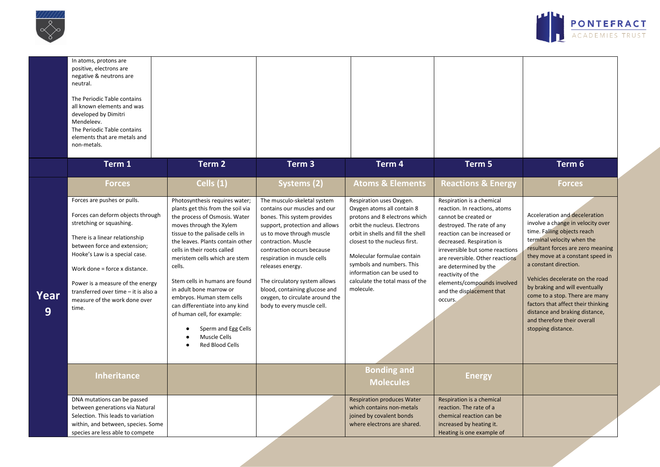



|           | In atoms, protons are<br>positive, electrons are<br>negative & neutrons are<br>neutral.<br>The Periodic Table contains<br>all known elements and was<br>developed by Dimitri<br>Mendeleev.<br>The Periodic Table contains<br>elements that are metals and<br>non-metals.<br>Term 1                                                                      | Term 2                                                                                                                                                                                                                                                                                                                                                                                                                                                                                                             | Term <sub>3</sub>                                                                                                                                                                                                                                                                                                                                                                                    | Term 4                                                                                                                                                                                                                                                                                                                                  | Term 5                                                                                                                                                                                                                                                                                                                                                                   | Term 6                                                                                                                                                                                                                                                                                                                                                                                                                                                                |
|-----------|---------------------------------------------------------------------------------------------------------------------------------------------------------------------------------------------------------------------------------------------------------------------------------------------------------------------------------------------------------|--------------------------------------------------------------------------------------------------------------------------------------------------------------------------------------------------------------------------------------------------------------------------------------------------------------------------------------------------------------------------------------------------------------------------------------------------------------------------------------------------------------------|------------------------------------------------------------------------------------------------------------------------------------------------------------------------------------------------------------------------------------------------------------------------------------------------------------------------------------------------------------------------------------------------------|-----------------------------------------------------------------------------------------------------------------------------------------------------------------------------------------------------------------------------------------------------------------------------------------------------------------------------------------|--------------------------------------------------------------------------------------------------------------------------------------------------------------------------------------------------------------------------------------------------------------------------------------------------------------------------------------------------------------------------|-----------------------------------------------------------------------------------------------------------------------------------------------------------------------------------------------------------------------------------------------------------------------------------------------------------------------------------------------------------------------------------------------------------------------------------------------------------------------|
|           | <b>Forces</b>                                                                                                                                                                                                                                                                                                                                           | Cells (1)                                                                                                                                                                                                                                                                                                                                                                                                                                                                                                          | Systems (2)                                                                                                                                                                                                                                                                                                                                                                                          | <b>Atoms &amp; Elements</b>                                                                                                                                                                                                                                                                                                             | <b>Reactions &amp; Energy</b>                                                                                                                                                                                                                                                                                                                                            | Forces                                                                                                                                                                                                                                                                                                                                                                                                                                                                |
| Year<br>9 | Forces are pushes or pulls.<br>Forces can deform objects through<br>stretching or squashing.<br>There is a linear relationship<br>between force and extension;<br>Hooke's Law is a special case.<br>Work done = force x distance.<br>Power is a measure of the energy<br>transferred over time - it is also a<br>measure of the work done over<br>time. | Photosynthesis requires water;<br>plants get this from the soil via<br>the process of Osmosis. Water<br>moves through the Xylem<br>tissue to the palisade cells in<br>the leaves. Plants contain other<br>cells in their roots called<br>meristem cells which are stem<br>cells.<br>Stem cells in humans are found<br>in adult bone marrow or<br>embryos. Human stem cells<br>can differentiate into any kind<br>of human cell, for example:<br>Sperm and Egg Cells<br>٠<br>Muscle Cells<br><b>Red Blood Cells</b> | The musculo-skeletal system<br>contains our muscles and our<br>bones. This system provides<br>support, protection and allows<br>us to move through muscle<br>contraction. Muscle<br>contraction occurs because<br>respiration in muscle cells<br>releases energy.<br>The circulatory system allows<br>blood, containing glucose and<br>oxygen, to circulate around the<br>body to every muscle cell. | Respiration uses Oxygen.<br>Oxygen atoms all contain 8<br>protons and 8 electrons which<br>orbit the nucleus. Electrons<br>orbit in shells and fill the shell<br>closest to the nucleus first.<br>Molecular formulae contain<br>symbols and numbers. This<br>information can be used to<br>calculate the total mass of the<br>molecule. | Respiration is a chemical<br>reaction. In reactions, atoms<br>cannot be created or<br>destroyed. The rate of any<br>reaction can be increased or<br>decreased. Respiration is<br>irreversible but some reactions<br>are reversible. Other reactions<br>are determined by the<br>reactivity of the<br>elements/compounds involved<br>and the displacement that<br>occurs. | Acceleration and deceleration<br>involve a change in velocity over<br>time. Falling objects reach<br>terminal velocity when the<br>resultant forces are zero meaning<br>they move at a constant speed in<br>a constant direction.<br>Vehicles decelerate on the road<br>by braking and will eventually<br>come to a stop. There are many<br>factors that affect their thinking<br>distance and braking distance,<br>and therefore their overall<br>stopping distance. |
|           | <b>Inheritance</b>                                                                                                                                                                                                                                                                                                                                      |                                                                                                                                                                                                                                                                                                                                                                                                                                                                                                                    |                                                                                                                                                                                                                                                                                                                                                                                                      | <b>Bonding and</b><br><b>Molecules</b>                                                                                                                                                                                                                                                                                                  | <b>Energy</b>                                                                                                                                                                                                                                                                                                                                                            |                                                                                                                                                                                                                                                                                                                                                                                                                                                                       |
|           | DNA mutations can be passed<br>between generations via Natural<br>Selection. This leads to variation<br>within, and between, species. Some<br>species are less able to compete                                                                                                                                                                          |                                                                                                                                                                                                                                                                                                                                                                                                                                                                                                                    |                                                                                                                                                                                                                                                                                                                                                                                                      | <b>Respiration produces Water</b><br>which contains non-metals<br>joined by covalent bonds<br>where electrons are shared.                                                                                                                                                                                                               | Respiration is a chemical<br>reaction. The rate of a<br>chemical reaction can be<br>increased by heating it.<br>Heating is one example of                                                                                                                                                                                                                                |                                                                                                                                                                                                                                                                                                                                                                                                                                                                       |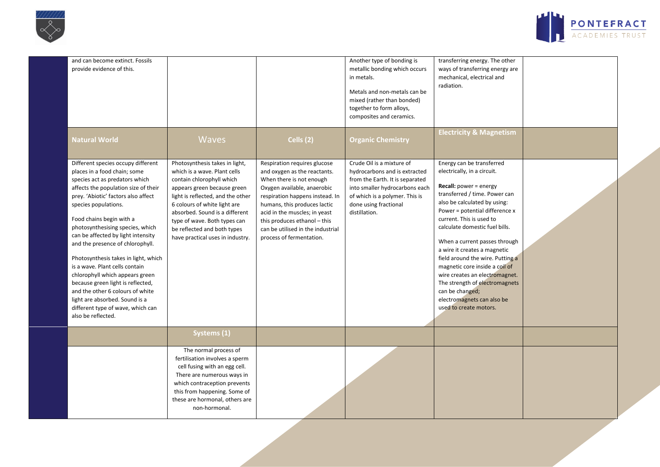



| and can become extinct. Fossils<br>provide evidence of this.                                                                                                                                                                                                                                                                                                                                                                                                                                                                                                                                                                             |                                                                                                                                                                                                                                                                                                                                      |                                                                                                                                                                                                                                                                                                                              | Another type of bonding is<br>metallic bonding which occurs<br>in metals.<br>Metals and non-metals can be<br>mixed (rather than bonded)<br>together to form alloys,<br>composites and ceramics.             | transferring energy. The other<br>ways of transferring energy are<br>mechanical, electrical and<br>radiation.                                                                                                                                                                                                                                                                                                                                                                                                                                    |  |
|------------------------------------------------------------------------------------------------------------------------------------------------------------------------------------------------------------------------------------------------------------------------------------------------------------------------------------------------------------------------------------------------------------------------------------------------------------------------------------------------------------------------------------------------------------------------------------------------------------------------------------------|--------------------------------------------------------------------------------------------------------------------------------------------------------------------------------------------------------------------------------------------------------------------------------------------------------------------------------------|------------------------------------------------------------------------------------------------------------------------------------------------------------------------------------------------------------------------------------------------------------------------------------------------------------------------------|-------------------------------------------------------------------------------------------------------------------------------------------------------------------------------------------------------------|--------------------------------------------------------------------------------------------------------------------------------------------------------------------------------------------------------------------------------------------------------------------------------------------------------------------------------------------------------------------------------------------------------------------------------------------------------------------------------------------------------------------------------------------------|--|
| <b>Natural World</b>                                                                                                                                                                                                                                                                                                                                                                                                                                                                                                                                                                                                                     | <b>Waves</b>                                                                                                                                                                                                                                                                                                                         | Cells $(2)$                                                                                                                                                                                                                                                                                                                  | <b>Organic Chemistry</b>                                                                                                                                                                                    | <b>Electricity &amp; Magnetism</b>                                                                                                                                                                                                                                                                                                                                                                                                                                                                                                               |  |
| Different species occupy different<br>places in a food chain; some<br>species act as predators which<br>affects the population size of their<br>prey. 'Abiotic' factors also affect<br>species populations.<br>Food chains begin with a<br>photosynthesising species, which<br>can be affected by light intensity<br>and the presence of chlorophyll.<br>Photosynthesis takes in light, which<br>is a wave. Plant cells contain<br>chlorophyll which appears green<br>because green light is reflected,<br>and the other 6 colours of white<br>light are absorbed. Sound is a<br>different type of wave, which can<br>also be reflected. | Photosynthesis takes in light,<br>which is a wave. Plant cells<br>contain chlorophyll which<br>appears green because green<br>light is reflected, and the other<br>6 colours of white light are<br>absorbed. Sound is a different<br>type of wave. Both types can<br>be reflected and both types<br>have practical uses in industry. | Respiration requires glucose<br>and oxygen as the reactants.<br>When there is not enough<br>Oxygen available, anaerobic<br>respiration happens instead. In<br>humans, this produces lactic<br>acid in the muscles; in yeast<br>this produces ethanol - this<br>can be utilised in the industrial<br>process of fermentation. | Crude Oil is a mixture of<br>hydrocarbons and is extracted<br>from the Earth. It is separated<br>into smaller hydrocarbons each<br>of which is a polymer. This is<br>done using fractional<br>distillation. | Energy can be transferred<br>electrically, in a circuit.<br><b>Recall:</b> power = energy<br>transferred / time. Power can<br>also be calculated by using:<br>Power = potential difference x<br>current. This is used to<br>calculate domestic fuel bills.<br>When a current passes through<br>a wire it creates a magnetic<br>field around the wire. Putting a<br>magnetic core inside a coil of<br>wire creates an electromagnet.<br>The strength of electromagnets<br>can be changed;<br>electromagnets can also be<br>used to create motors. |  |
|                                                                                                                                                                                                                                                                                                                                                                                                                                                                                                                                                                                                                                          | Systems (1)                                                                                                                                                                                                                                                                                                                          |                                                                                                                                                                                                                                                                                                                              |                                                                                                                                                                                                             |                                                                                                                                                                                                                                                                                                                                                                                                                                                                                                                                                  |  |
|                                                                                                                                                                                                                                                                                                                                                                                                                                                                                                                                                                                                                                          | The normal process of<br>fertilisation involves a sperm<br>cell fusing with an egg cell.<br>There are numerous ways in<br>which contraception prevents<br>this from happening. Some of<br>these are hormonal, others are<br>non-hormonal.                                                                                            |                                                                                                                                                                                                                                                                                                                              |                                                                                                                                                                                                             |                                                                                                                                                                                                                                                                                                                                                                                                                                                                                                                                                  |  |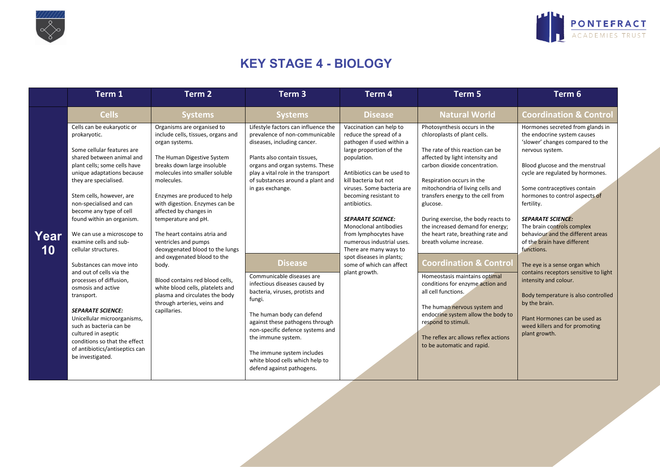



## **KEY STAGE 4 - BIOLOGY**

|            | Term 1                                                                                                                                                                                                                                                                                                                                                                                                                                                                                                             | Term 2                                                                                                                                                                                                                                                                                                                                                                                                                                                                                                                                                                                        | Term <sub>3</sub>                                                                                                                                                                                                                                                                                                                                                                                  | Term 4                                                                                                                                                                                                                                                                                                                                                                                                                                                               | Term 5                                                                                                                                                                                                                                                                                                                                                                                                                                                                                                                                                             | Term 6                                                                                                                                                                                                                                                                                                                                                                                                                                                                                                                                                                               |
|------------|--------------------------------------------------------------------------------------------------------------------------------------------------------------------------------------------------------------------------------------------------------------------------------------------------------------------------------------------------------------------------------------------------------------------------------------------------------------------------------------------------------------------|-----------------------------------------------------------------------------------------------------------------------------------------------------------------------------------------------------------------------------------------------------------------------------------------------------------------------------------------------------------------------------------------------------------------------------------------------------------------------------------------------------------------------------------------------------------------------------------------------|----------------------------------------------------------------------------------------------------------------------------------------------------------------------------------------------------------------------------------------------------------------------------------------------------------------------------------------------------------------------------------------------------|----------------------------------------------------------------------------------------------------------------------------------------------------------------------------------------------------------------------------------------------------------------------------------------------------------------------------------------------------------------------------------------------------------------------------------------------------------------------|--------------------------------------------------------------------------------------------------------------------------------------------------------------------------------------------------------------------------------------------------------------------------------------------------------------------------------------------------------------------------------------------------------------------------------------------------------------------------------------------------------------------------------------------------------------------|--------------------------------------------------------------------------------------------------------------------------------------------------------------------------------------------------------------------------------------------------------------------------------------------------------------------------------------------------------------------------------------------------------------------------------------------------------------------------------------------------------------------------------------------------------------------------------------|
|            | <b>Cells</b>                                                                                                                                                                                                                                                                                                                                                                                                                                                                                                       | <b>Systems</b>                                                                                                                                                                                                                                                                                                                                                                                                                                                                                                                                                                                | <b>Systems</b>                                                                                                                                                                                                                                                                                                                                                                                     | <b>Disease</b>                                                                                                                                                                                                                                                                                                                                                                                                                                                       | <b>Natural World</b>                                                                                                                                                                                                                                                                                                                                                                                                                                                                                                                                               | <b>Coordination &amp; Control</b>                                                                                                                                                                                                                                                                                                                                                                                                                                                                                                                                                    |
| Year<br>10 | Cells can be eukaryotic or<br>prokaryotic.<br>Some cellular features are<br>shared between animal and<br>plant cells; some cells have<br>unique adaptations because<br>they are specialised.<br>Stem cells, however, are<br>non-specialised and can<br>become any type of cell<br>found within an organism.<br>We can use a microscope to<br>examine cells and sub-<br>cellular structures.<br>Substances can move into<br>and out of cells via the<br>processes of diffusion,<br>osmosis and active<br>transport. | Organisms are organised to<br>include cells, tissues, organs and<br>organ systems.<br>The Human Digestive System<br>breaks down large insoluble<br>molecules into smaller soluble<br>molecules.<br>Enzymes are produced to help<br>with digestion. Enzymes can be<br>affected by changes in<br>temperature and pH.<br>The heart contains atria and<br>ventricles and pumps<br>deoxygenated blood to the lungs<br>and oxygenated blood to the<br>body.<br>Blood contains red blood cells.<br>white blood cells, platelets and<br>plasma and circulates the body<br>through arteries, veins and | Lifestyle factors can influence the<br>prevalence of non-communicable<br>diseases, including cancer.<br>Plants also contain tissues,<br>organs and organ systems. These<br>play a vital role in the transport<br>of substances around a plant and<br>in gas exchange.<br><b>Disease</b><br>Communicable diseases are<br>infectious diseases caused by<br>bacteria, viruses, protists and<br>fungi. | Vaccination can help to<br>reduce the spread of a<br>pathogen if used within a<br>large proportion of the<br>population.<br>Antibiotics can be used to<br>kill bacteria but not<br>viruses. Some bacteria are<br>becoming resistant to<br>antibiotics.<br><b>SEPARATE SCIENCE:</b><br>Monoclonal antibodies<br>from lymphocytes have<br>numerous industrial uses.<br>There are many ways to<br>spot diseases in plants;<br>some of which can affect<br>plant growth. | Photosynthesis occurs in the<br>chloroplasts of plant cells.<br>The rate of this reaction can be<br>affected by light intensity and<br>carbon dioxide concentration.<br>Respiration occurs in the<br>mitochondria of living cells and<br>transfers energy to the cell from<br>glucose.<br>During exercise, the body reacts to<br>the increased demand for energy;<br>the heart rate, breathing rate and<br>breath volume increase.<br><b>Coordination &amp; Contro</b><br>Homeostasis maintains optimal<br>conditions for enzyme action and<br>all cell functions. | Hormones secreted from glands in<br>the endocrine system causes<br>'slower' changes compared to the<br>nervous system.<br>Blood glucose and the menstrual<br>cycle are regulated by hormones.<br>Some contraceptives contain<br>hormones to control aspects of<br>fertility.<br><b>SEPARATE SCIENCE:</b><br>The brain controls complex<br>behaviour and the different areas<br>of the brain have different<br>functions.<br>The eye is a sense organ which<br>contains receptors sensitive to light<br>intensity and colour.<br>Body temperature is also controlled<br>by the brain. |
|            | <b>SEPARATE SCIENCE:</b><br>Unicellular microorganisms,<br>such as bacteria can be<br>cultured in aseptic<br>conditions so that the effect<br>of antibiotics/antiseptics can<br>be investigated.                                                                                                                                                                                                                                                                                                                   | capillaries.                                                                                                                                                                                                                                                                                                                                                                                                                                                                                                                                                                                  | The human body can defend<br>against these pathogens through<br>non-specific defence systems and<br>the immune system.<br>The immune system includes<br>white blood cells which help to<br>defend against pathogens.                                                                                                                                                                               |                                                                                                                                                                                                                                                                                                                                                                                                                                                                      | The human nervous system and<br>endocrine system allow the body to<br>respond to stimuli.<br>The reflex arc allows reflex actions<br>to be automatic and rapid.                                                                                                                                                                                                                                                                                                                                                                                                    | Plant Hormones can be used as<br>weed killers and for promoting<br>plant growth.                                                                                                                                                                                                                                                                                                                                                                                                                                                                                                     |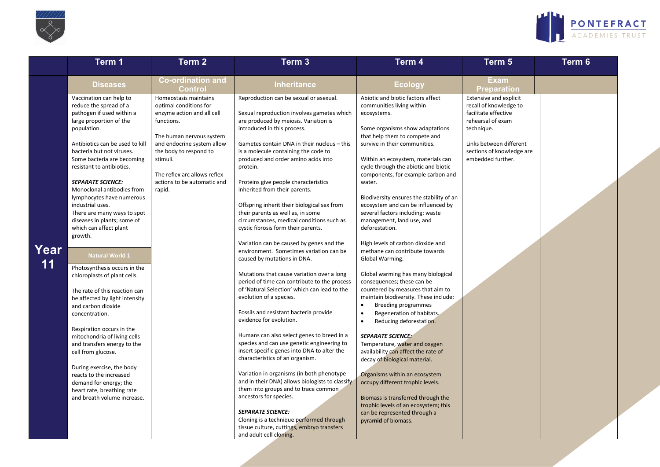



| <b>Co-ordination and</b><br><b>Diseases</b><br><b>Ecology</b><br><b>Inheritance</b><br>Control<br>Homeostasis maintains<br>Abiotic and biotic factors affect<br>Vaccination can help to<br>Reproduction can be sexual or asexual.<br>reduce the spread of a<br>optimal conditions for<br>communities living within<br>pathogen if used within a<br>Sexual reproduction involves gametes which<br>enzyme action and all cell<br>ecosystems.<br>large proportion of the<br>functions.<br>are produced by meiosis. Variation is<br>Some organisms show adaptations<br>population.<br>introduced in this process.<br>technique.<br>The human nervous system<br>that help them to compete and<br>and endocrine system allow<br>Antibiotics can be used to kill<br>Gametes contain DNA in their nucleus - this<br>survive in their communities.<br>bacteria but not viruses.<br>the body to respond to<br>is a molecule containing the code to<br>stimuli.<br>produced and order amino acids into<br>Within an ecosystem, materials can<br>Some bacteria are becoming<br>resistant to antibiotics.<br>protein.<br>cycle through the abiotic and biotic<br>The reflex arc allows reflex<br>components, for example carbon and<br><b>SEPARATE SCIENCE:</b><br>actions to be automatic and<br>Proteins give people characteristics<br>water.<br>Monoclonal antibodies from<br>inherited from their parents.<br>rapid.<br>Biodiversity ensures the stability of an<br>lymphocytes have numerous<br>ecosystem and can be influenced by<br>industrial uses.<br>Offspring inherit their biological sex from<br>their parents as well as, in some<br>several factors including: waste<br>There are many ways to spot<br>diseases in plants; some of<br>circumstances, medical conditions such as<br>management, land use, and<br>which can affect plant<br>deforestation.<br>cystic fibrosis form their parents.<br>growth.                                                                                                            | Term 1 | Term 2 | Term <sub>3</sub> | Term 4 | Term 5                                                                                                                                                                            | Term 6 |
|--------------------------------------------------------------------------------------------------------------------------------------------------------------------------------------------------------------------------------------------------------------------------------------------------------------------------------------------------------------------------------------------------------------------------------------------------------------------------------------------------------------------------------------------------------------------------------------------------------------------------------------------------------------------------------------------------------------------------------------------------------------------------------------------------------------------------------------------------------------------------------------------------------------------------------------------------------------------------------------------------------------------------------------------------------------------------------------------------------------------------------------------------------------------------------------------------------------------------------------------------------------------------------------------------------------------------------------------------------------------------------------------------------------------------------------------------------------------------------------------------------------------------------------------------------------------------------------------------------------------------------------------------------------------------------------------------------------------------------------------------------------------------------------------------------------------------------------------------------------------------------------------------------------------------------------------------------------------------------------------------------------------------|--------|--------|-------------------|--------|-----------------------------------------------------------------------------------------------------------------------------------------------------------------------------------|--------|
|                                                                                                                                                                                                                                                                                                                                                                                                                                                                                                                                                                                                                                                                                                                                                                                                                                                                                                                                                                                                                                                                                                                                                                                                                                                                                                                                                                                                                                                                                                                                                                                                                                                                                                                                                                                                                                                                                                                                                                                                                          |        |        |                   |        | <b>Exam</b><br><b>Preparation</b>                                                                                                                                                 |        |
| Variation can be caused by genes and the<br>High levels of carbon dioxide and<br>Year<br>environment. Sometimes variation can be<br>methane can contribute towards<br><b>Natural World 1</b><br>caused by mutations in DNA.<br>Global Warming.<br>11<br>Photosynthesis occurs in the<br>Mutations that cause variation over a long<br>Global warming has many biological<br>chloroplasts of plant cells.<br>period of time can contribute to the process<br>consequences; these can be<br>of 'Natural Selection' which can lead to the<br>countered by measures that aim to<br>The rate of this reaction can<br>evolution of a species.<br>maintain biodiversity. These include:<br>be affected by light intensity<br><b>Breeding programmes</b><br>and carbon dioxide<br>Fossils and resistant bacteria provide<br>Regeneration of habitats.<br>$\bullet$<br>concentration.<br>evidence for evolution.<br>Reducing deforestation.<br>Respiration occurs in the<br>Humans can also select genes to breed in a<br><b>SEPARATE SCIENCE:</b><br>mitochondria of living cells<br>species and can use genetic engineering to<br>Temperature, water and oxygen<br>and transfers energy to the<br>insert specific genes into DNA to alter the<br>availability can affect the rate of<br>cell from glucose.<br>characteristics of an organism.<br>decay of biological material.<br>During exercise, the body<br>Variation in organisms (in both phenotype<br>Organisms within an ecosystem<br>reacts to the increased<br>and in their DNA) allows biologists to classify<br>occupy different trophic levels.<br>demand for energy; the<br>them into groups and to trace common<br>heart rate, breathing rate<br>ancestors for species.<br>Biomass is transferred through the<br>and breath volume increase.<br>trophic levels of an ecosystem; this<br><b>SEPARATE SCIENCE:</b><br>can be represented through a<br>Cloning is a technique performed through<br>pyramid of biomass.<br>tissue culture, cuttings, embryo transfers |        |        |                   |        | <b>Extensive and explicit</b><br>recall of knowledge to<br>facilitate effective<br>rehearsal of exam<br>Links between different<br>sections of knowledge are<br>embedded further. |        |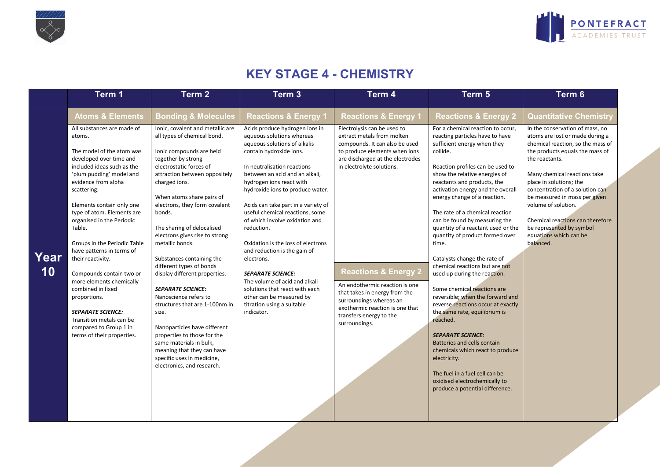



## **KEY STAGE 4 - CHEMISTRY**

|            | Term 1                                                                                                                                                                                                                                                                                                                                                                                                                                                                                                                                                                                        | Term <sub>2</sub>                                                                                                                                                                                                                                                                                                                                                                                                                                                                                                                                                                                                                                                                                                                       | Term 3                                                                                                                                                                                                                                                                                                                                                                                                                                                                                                                                                                                                                                       | Term 4                                                                                                                                                                                                                                                                                                                                                                                                        | Term 5                                                                                                                                                                                                                                                                                                                                                                                                                                                                                                                                                                                                                                                                                                                                                                                                                                                                                                                      | Term 6                                                                                                                                                                                                                                                                                                                                                                                                                    |
|------------|-----------------------------------------------------------------------------------------------------------------------------------------------------------------------------------------------------------------------------------------------------------------------------------------------------------------------------------------------------------------------------------------------------------------------------------------------------------------------------------------------------------------------------------------------------------------------------------------------|-----------------------------------------------------------------------------------------------------------------------------------------------------------------------------------------------------------------------------------------------------------------------------------------------------------------------------------------------------------------------------------------------------------------------------------------------------------------------------------------------------------------------------------------------------------------------------------------------------------------------------------------------------------------------------------------------------------------------------------------|----------------------------------------------------------------------------------------------------------------------------------------------------------------------------------------------------------------------------------------------------------------------------------------------------------------------------------------------------------------------------------------------------------------------------------------------------------------------------------------------------------------------------------------------------------------------------------------------------------------------------------------------|---------------------------------------------------------------------------------------------------------------------------------------------------------------------------------------------------------------------------------------------------------------------------------------------------------------------------------------------------------------------------------------------------------------|-----------------------------------------------------------------------------------------------------------------------------------------------------------------------------------------------------------------------------------------------------------------------------------------------------------------------------------------------------------------------------------------------------------------------------------------------------------------------------------------------------------------------------------------------------------------------------------------------------------------------------------------------------------------------------------------------------------------------------------------------------------------------------------------------------------------------------------------------------------------------------------------------------------------------------|---------------------------------------------------------------------------------------------------------------------------------------------------------------------------------------------------------------------------------------------------------------------------------------------------------------------------------------------------------------------------------------------------------------------------|
|            | <b>Atoms &amp; Elements</b>                                                                                                                                                                                                                                                                                                                                                                                                                                                                                                                                                                   | <b>Bonding &amp; Molecules</b>                                                                                                                                                                                                                                                                                                                                                                                                                                                                                                                                                                                                                                                                                                          | <b>Reactions &amp; Energy 1</b>                                                                                                                                                                                                                                                                                                                                                                                                                                                                                                                                                                                                              | <b>Reactions &amp; Energy 1</b>                                                                                                                                                                                                                                                                                                                                                                               | <b>Reactions &amp; Energy 2</b>                                                                                                                                                                                                                                                                                                                                                                                                                                                                                                                                                                                                                                                                                                                                                                                                                                                                                             | <b>Quantitative Chemistry</b>                                                                                                                                                                                                                                                                                                                                                                                             |
| Year<br>10 | All substances are made of<br>atoms.<br>The model of the atom was<br>developed over time and<br>included ideas such as the<br>'plum pudding' model and<br>evidence from alpha<br>scattering.<br>Elements contain only one<br>type of atom. Elements are<br>organised in the Periodic<br>Table.<br>Groups in the Periodic Table<br>have patterns in terms of<br>their reactivity.<br>Compounds contain two or<br>more elements chemically<br>combined in fixed<br>proportions.<br><b>SEPARATE SCIENCE:</b><br>Transition metals can be<br>compared to Group 1 in<br>terms of their properties. | Ionic, covalent and metallic are<br>all types of chemical bond.<br>Ionic compounds are held<br>together by strong<br>electrostatic forces of<br>attraction between oppositely<br>charged ions.<br>When atoms share pairs of<br>electrons, they form covalent<br>bonds.<br>The sharing of delocalised<br>electrons gives rise to strong<br>metallic bonds.<br>Substances containing the<br>different types of bonds<br>display different properties.<br><b>SEPARATE SCIENCE:</b><br>Nanoscience refers to<br>structures that are 1-100nm in<br>size.<br>Nanoparticles have different<br>properties to those for the<br>same materials in bulk,<br>meaning that they can have<br>specific uses in medicine,<br>electronics, and research. | Acids produce hydrogen ions in<br>aqueous solutions whereas<br>aqueous solutions of alkalis<br>contain hydroxide ions.<br>In neutralisation reactions<br>between an acid and an alkali,<br>hydrogen ions react with<br>hydroxide ions to produce water.<br>Acids can take part in a variety of<br>useful chemical reactions, some<br>of which involve oxidation and<br>reduction.<br>Oxidation is the loss of electrons<br>and reduction is the gain of<br>electrons.<br><b>SEPARATE SCIENCE:</b><br>The volume of acid and alkali<br>solutions that react with each<br>other can be measured by<br>titration using a suitable<br>indicator. | Electrolysis can be used to<br>extract metals from molten<br>compounds. It can also be used<br>to produce elements when ions<br>are discharged at the electrodes<br>in electrolyte solutions.<br><b>Reactions &amp; Energy 2</b><br>An endothermic reaction is one<br>that takes in energy from the<br>surroundings whereas an<br>exothermic reaction is one that<br>transfers energy to the<br>surroundings. | For a chemical reaction to occur,<br>reacting particles have to have<br>sufficient energy when they<br>collide.<br>Reaction profiles can be used to<br>show the relative energies of<br>reactants and products, the<br>activation energy and the overall<br>energy change of a reaction.<br>The rate of a chemical reaction<br>can be found by measuring the<br>quantity of a reactant used or the<br>quantity of product formed over<br>time.<br>Catalysts change the rate of<br>chemical reactions but are not<br>used up during the reaction.<br>Some chemical reactions are<br>reversible; when the forward and<br>reverse reactions occur at exactly<br>the same rate, equilibrium is<br>reached.<br><b>SEPARATE SCIENCE:</b><br>Batteries and cells contain<br>chemicals which react to produce<br>electricity.<br>The fuel in a fuel cell can be<br>oxidised electrochemically to<br>produce a potential difference. | In the conservation of mass, no<br>atoms are lost or made during a<br>chemical reaction, so the mass of<br>the products equals the mass of<br>the reactants.<br>Many chemical reactions take<br>place in solutions; the<br>concentration of a solution can<br>be measured in mass per given<br>volume of solution.<br>Chemical reactions can therefore<br>be represented by symbol<br>equations which can be<br>balanced. |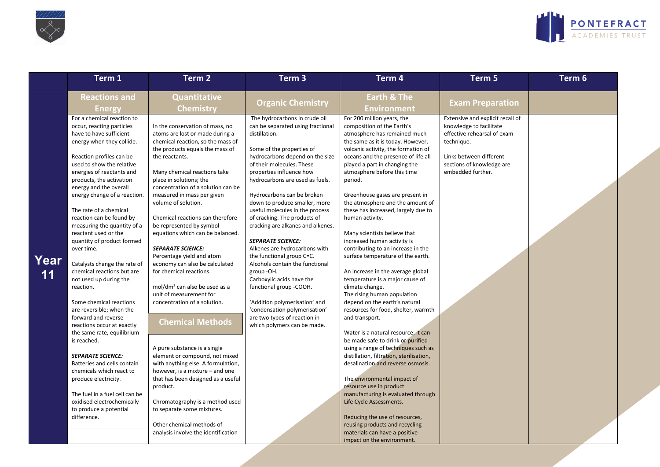



|            | Term 1                                                                                                                                                                                                                                                                                                                                                                                                                                                                                                                                                                                                                                                                                                                                                                                                                                                                                                                                     | Term <sub>2</sub>                                                                                                                                                                                                                                                                                                                                                                                                                                                                                                                                                                                                                                                                                                                                                                                                                                                                                                                                                          | Term <sub>3</sub>                                                                                                                                                                                                                                                                                                                                                                                                                                                                                                                                                                                                                                                                                                                                         | Term 4                                                                                                                                                                                                                                                                                                                                                                                                                                                                                                                                                                                                                                                                                                                                                                                                                                                                                                                                                                                                                                                                                                                                                                                   | Term 5                                                                                                                                                                                | Term 6 |
|------------|--------------------------------------------------------------------------------------------------------------------------------------------------------------------------------------------------------------------------------------------------------------------------------------------------------------------------------------------------------------------------------------------------------------------------------------------------------------------------------------------------------------------------------------------------------------------------------------------------------------------------------------------------------------------------------------------------------------------------------------------------------------------------------------------------------------------------------------------------------------------------------------------------------------------------------------------|----------------------------------------------------------------------------------------------------------------------------------------------------------------------------------------------------------------------------------------------------------------------------------------------------------------------------------------------------------------------------------------------------------------------------------------------------------------------------------------------------------------------------------------------------------------------------------------------------------------------------------------------------------------------------------------------------------------------------------------------------------------------------------------------------------------------------------------------------------------------------------------------------------------------------------------------------------------------------|-----------------------------------------------------------------------------------------------------------------------------------------------------------------------------------------------------------------------------------------------------------------------------------------------------------------------------------------------------------------------------------------------------------------------------------------------------------------------------------------------------------------------------------------------------------------------------------------------------------------------------------------------------------------------------------------------------------------------------------------------------------|------------------------------------------------------------------------------------------------------------------------------------------------------------------------------------------------------------------------------------------------------------------------------------------------------------------------------------------------------------------------------------------------------------------------------------------------------------------------------------------------------------------------------------------------------------------------------------------------------------------------------------------------------------------------------------------------------------------------------------------------------------------------------------------------------------------------------------------------------------------------------------------------------------------------------------------------------------------------------------------------------------------------------------------------------------------------------------------------------------------------------------------------------------------------------------------|---------------------------------------------------------------------------------------------------------------------------------------------------------------------------------------|--------|
|            | <b>Reactions and</b><br><b>Energy</b>                                                                                                                                                                                                                                                                                                                                                                                                                                                                                                                                                                                                                                                                                                                                                                                                                                                                                                      | <b>Quantitative</b><br><b>Chemistry</b>                                                                                                                                                                                                                                                                                                                                                                                                                                                                                                                                                                                                                                                                                                                                                                                                                                                                                                                                    | <b>Organic Chemistry</b>                                                                                                                                                                                                                                                                                                                                                                                                                                                                                                                                                                                                                                                                                                                                  | <b>Earth &amp; The</b><br><b>Environment</b>                                                                                                                                                                                                                                                                                                                                                                                                                                                                                                                                                                                                                                                                                                                                                                                                                                                                                                                                                                                                                                                                                                                                             | <b>Exam Preparation</b>                                                                                                                                                               |        |
| Year<br>11 | For a chemical reaction to<br>occur, reacting particles<br>have to have sufficient<br>energy when they collide.<br>Reaction profiles can be<br>used to show the relative<br>energies of reactants and<br>products, the activation<br>energy and the overall<br>energy change of a reaction.<br>The rate of a chemical<br>reaction can be found by<br>measuring the quantity of a<br>reactant used or the<br>quantity of product formed<br>over time.<br>Catalysts change the rate of<br>chemical reactions but are<br>not used up during the<br>reaction.<br>Some chemical reactions<br>are reversible; when the<br>forward and reverse<br>reactions occur at exactly<br>the same rate, equilibrium<br>is reached.<br><b>SEPARATE SCIENCE:</b><br>Batteries and cells contain<br>chemicals which react to<br>produce electricity.<br>The fuel in a fuel cell can be<br>oxidised electrochemically<br>to produce a potential<br>difference. | In the conservation of mass, no<br>atoms are lost or made during a<br>chemical reaction, so the mass of<br>the products equals the mass of<br>the reactants.<br>Many chemical reactions take<br>place in solutions; the<br>concentration of a solution can be<br>measured in mass per given<br>volume of solution.<br>Chemical reactions can therefore<br>be represented by symbol<br>equations which can be balanced.<br><b>SEPARATE SCIENCE:</b><br>Percentage yield and atom<br>economy can also be calculated<br>for chemical reactions.<br>mol/dm <sup>3</sup> can also be used as a<br>unit of measurement for<br>concentration of a solution.<br><b>Chemical Methods</b><br>A pure substance is a single<br>element or compound, not mixed<br>with anything else. A formulation,<br>however, is a mixture - and one<br>that has been designed as a useful<br>product.<br>Chromatography is a method used<br>to separate some mixtures.<br>Other chemical methods of | The hydrocarbons in crude oil<br>can be separated using fractional<br>distillation.<br>Some of the properties of<br>hydrocarbons depend on the size<br>of their molecules. These<br>properties influence how<br>hydrocarbons are used as fuels.<br>Hydrocarbons can be broken<br>down to produce smaller, more<br>useful molecules in the process<br>of cracking. The products of<br>cracking are alkanes and alkenes.<br><b>SEPARATE SCIENCE:</b><br>Alkenes are hydrocarbons with<br>the functional group C=C.<br>Alcohols contain the functional<br>group-OH.<br>Carboxylic acids have the<br>functional group -COOH.<br>'Addition polymerisation' and<br>'condensation polymerisation'<br>are two types of reaction in<br>which polymers can be made. | For 200 million years, the<br>composition of the Earth's<br>atmosphere has remained much<br>the same as it is today. However,<br>volcanic activity, the formation of<br>oceans and the presence of life all<br>played a part in changing the<br>atmosphere before this time<br>period.<br>Greenhouse gases are present in<br>the atmosphere and the amount of<br>these has increased, largely due to<br>human activity.<br>Many scientists believe that<br>increased human activity is<br>contributing to an increase in the<br>surface temperature of the earth.<br>An increase in the average global<br>temperature is a major cause of<br>climate change.<br>The rising human population<br>depend on the earth's natural<br>resources for food, shelter, warmth<br>and transport.<br>Water is a natural resource; it can<br>be made safe to drink or purified<br>using a range of techniques such as<br>distillation, filtration, sterilisation,<br>desalination and reverse osmosis.<br>The environmental impact of<br>resource use in product<br>manufacturing is evaluated through<br>Life Cycle Assessments.<br>Reducing the use of resources,<br>reusing products and recycling | Extensive and explicit recall of<br>knowledge to facilitate<br>effective rehearsal of exam<br>technique.<br>Links between different<br>sections of knowledge are<br>embedded further. |        |
|            |                                                                                                                                                                                                                                                                                                                                                                                                                                                                                                                                                                                                                                                                                                                                                                                                                                                                                                                                            | analysis involve the identification                                                                                                                                                                                                                                                                                                                                                                                                                                                                                                                                                                                                                                                                                                                                                                                                                                                                                                                                        |                                                                                                                                                                                                                                                                                                                                                                                                                                                                                                                                                                                                                                                                                                                                                           | materials can have a positive<br>impact on the environment.                                                                                                                                                                                                                                                                                                                                                                                                                                                                                                                                                                                                                                                                                                                                                                                                                                                                                                                                                                                                                                                                                                                              |                                                                                                                                                                                       |        |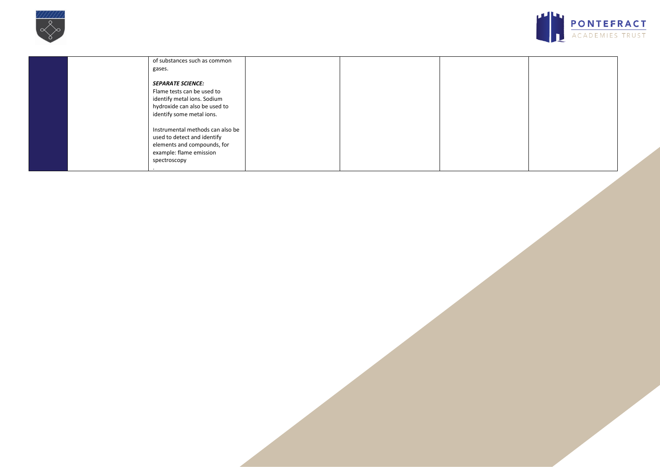



| of substances such as common<br>gases.                                                                                                              |  |  |
|-----------------------------------------------------------------------------------------------------------------------------------------------------|--|--|
| <b>SEPARATE SCIENCE:</b><br>Flame tests can be used to<br>identify metal ions. Sodium<br>hydroxide can also be used to<br>identify some metal ions. |  |  |
| Instrumental methods can also be<br>used to detect and identify<br>elements and compounds, for<br>example: flame emission<br>spectroscopy           |  |  |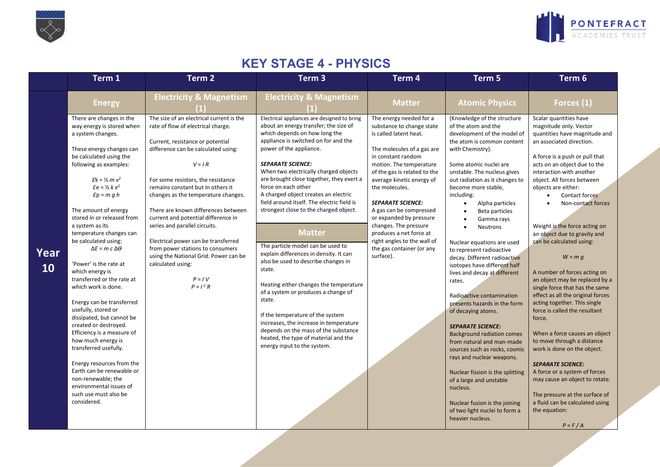



## **KEY STAGE 4 - PHYSICS**

|            | Term 1                                                                                                                                                                                                                                                                                                                                                                                                                                                                                                                                                                                                                                                                                                                                                                                                                                 | Term 2                                                                                                                                                                                                                                                                                                                                                                                                                                                                                                                                                                     | Term <sub>3</sub>                                                                                                                                                                                                                                                                                                                                                                                                                                                                                                                                                                                                                                                                                                                                                                                                                                                                                         | Term 4                                                                                                                                                                                                                                                                                                                                                                                                                                                      | Term 5                                                                                                                                                                                                                                                                                                                                                                                                                                                                                                                                                                                                                                                                                                                                                                                                                                                                                                                              | Term 6                                                                                                                                                                                                                                                                                                                                                                                                                                                                                                                                                                                                                                                                                                                                                                                                                                                                                                                                 |
|------------|----------------------------------------------------------------------------------------------------------------------------------------------------------------------------------------------------------------------------------------------------------------------------------------------------------------------------------------------------------------------------------------------------------------------------------------------------------------------------------------------------------------------------------------------------------------------------------------------------------------------------------------------------------------------------------------------------------------------------------------------------------------------------------------------------------------------------------------|----------------------------------------------------------------------------------------------------------------------------------------------------------------------------------------------------------------------------------------------------------------------------------------------------------------------------------------------------------------------------------------------------------------------------------------------------------------------------------------------------------------------------------------------------------------------------|-----------------------------------------------------------------------------------------------------------------------------------------------------------------------------------------------------------------------------------------------------------------------------------------------------------------------------------------------------------------------------------------------------------------------------------------------------------------------------------------------------------------------------------------------------------------------------------------------------------------------------------------------------------------------------------------------------------------------------------------------------------------------------------------------------------------------------------------------------------------------------------------------------------|-------------------------------------------------------------------------------------------------------------------------------------------------------------------------------------------------------------------------------------------------------------------------------------------------------------------------------------------------------------------------------------------------------------------------------------------------------------|-------------------------------------------------------------------------------------------------------------------------------------------------------------------------------------------------------------------------------------------------------------------------------------------------------------------------------------------------------------------------------------------------------------------------------------------------------------------------------------------------------------------------------------------------------------------------------------------------------------------------------------------------------------------------------------------------------------------------------------------------------------------------------------------------------------------------------------------------------------------------------------------------------------------------------------|----------------------------------------------------------------------------------------------------------------------------------------------------------------------------------------------------------------------------------------------------------------------------------------------------------------------------------------------------------------------------------------------------------------------------------------------------------------------------------------------------------------------------------------------------------------------------------------------------------------------------------------------------------------------------------------------------------------------------------------------------------------------------------------------------------------------------------------------------------------------------------------------------------------------------------------|
|            | <b>Energy</b>                                                                                                                                                                                                                                                                                                                                                                                                                                                                                                                                                                                                                                                                                                                                                                                                                          | <b>Electricity &amp; Magnetism</b>                                                                                                                                                                                                                                                                                                                                                                                                                                                                                                                                         | <b>Electricity &amp; Magnetism</b>                                                                                                                                                                                                                                                                                                                                                                                                                                                                                                                                                                                                                                                                                                                                                                                                                                                                        | <b>Matter</b>                                                                                                                                                                                                                                                                                                                                                                                                                                               | <b>Atomic Physics</b>                                                                                                                                                                                                                                                                                                                                                                                                                                                                                                                                                                                                                                                                                                                                                                                                                                                                                                               | Forces (1)                                                                                                                                                                                                                                                                                                                                                                                                                                                                                                                                                                                                                                                                                                                                                                                                                                                                                                                             |
| Year<br>10 | There are changes in the<br>way energy is stored when<br>a system changes.<br>These energy changes can<br>be calculated using the<br>following as examples:<br>$Ek = 1/2 m v^2$<br>$E e = \frac{1}{2} k e^2$<br>$Ep = m g h$<br>The amount of energy<br>stored in or released from<br>a system as its<br>temperature changes can<br>be calculated using:<br>$\Delta E = m c \Delta \theta$<br>'Power' is the rate at<br>which energy is<br>transferred or the rate at<br>which work is done.<br>Energy can be transferred<br>usefully, stored or<br>dissipated, but cannot be<br>created or destroyed.<br>Efficiency is a measure of<br>how much energy is<br>transferred usefully.<br>Energy resources from the<br>Earth can be renewable or<br>non-renewable; the<br>environmental issues of<br>such use must also be<br>considered. | The size of an electrical current is the<br>rate of flow of electrical charge.<br>Current, resistance or potential<br>difference can be calculated using:<br>$V = IR$<br>For some resistors, the resistance<br>remains constant but in others it<br>changes as the temperature changes.<br>There are known differences between<br>current and potential difference in<br>series and parallel circuits.<br>Electrical power can be transferred<br>from power stations to consumers<br>using the National Grid. Power can be<br>calculated using:<br>$P = IV$<br>$P = I^2 R$ | Electrical appliances are designed to bring<br>about an energy transfer; the size of<br>which depends on how long the<br>appliance is switched on for and the<br>power of the appliance.<br><b>SEPARATE SCIENCE:</b><br>When two electrically charged objects<br>are brought close together, they exert a<br>force on each other<br>A charged object creates an electric<br>field around itself. The electric field is<br>strongest close to the charged object.<br><b>Matter</b><br>The particle model can be used to<br>explain differences in density. It can<br>also be used to describe changes in<br>state.<br>Heating either changes the temperature<br>of a system or produces a change of<br>state.<br>If the temperature of the system<br>increases, the increase in temperature<br>depends on the mass of the substance<br>heated, the type of material and the<br>energy input to the system. | The energy needed for a<br>substance to change state<br>is called latent heat.<br>The molecules of a gas are<br>in constant random<br>motion. The temperature<br>of the gas is related to the<br>average kinetic energy of<br>the molecules.<br><b>SEPARATE SCIENCE:</b><br>A gas can be compressed<br>or expanded by pressure<br>changes. The pressure<br>produces a net force at<br>right angles to the wall of<br>the gas container (or any<br>surface). | (Knowledge of the structure<br>of the atom and the<br>development of the model of<br>the atom is common content<br>with Chemistry).<br>Some atomic nuclei are<br>unstable. The nucleus gives<br>out radiation as it changes to<br>become more stable,<br>including:<br>Alpha particles<br>$\bullet$<br>Beta particles<br>Gamma rays<br>Neutrons<br>Nuclear equations are used<br>to represent radioactive<br>decay. Different radioactive<br>isotopes have different half<br>lives and decay at different<br>rates.<br>Radioactive contamination<br>presents hazards in the form<br>of decaying atoms.<br><b>SEPARATE SCIENCE:</b><br><b>Background radiation comes</b><br>from natural and man-made<br>sources such as rocks, cosmic<br>rays and nuclear weapons.<br>Nuclear fission is the splitting<br>of a large and unstable<br>nucleus.<br>Nuclear fusion is the joining<br>of two light nuclei to form a<br>heavier nucleus. | Scalar quantities have<br>magnitude only. Vector<br>quantities have magnitude and<br>an associated direction.<br>A force is a push or pull that<br>acts on an object due to the<br>interaction with another<br>object. All forces between<br>objects are either:<br>Contact forces<br>Non-contact forces<br>Weight is the force acting on<br>an object due to gravity and<br>can be calculated using:<br>$W = m q$<br>A number of forces acting on<br>an object may be replaced by a<br>single force that has the same<br>effect as all the original forces<br>acting together. This single<br>force is called the resultant<br>force.<br>When a force causes an object<br>to move through a distance<br>work is done on the object.<br><b>SEPARATE SCIENCE:</b><br>A force or a system of forces<br>may cause an object to rotate.<br>The pressure at the surface of<br>a fluid can be calculated using<br>the equation:<br>$P = F/A$ |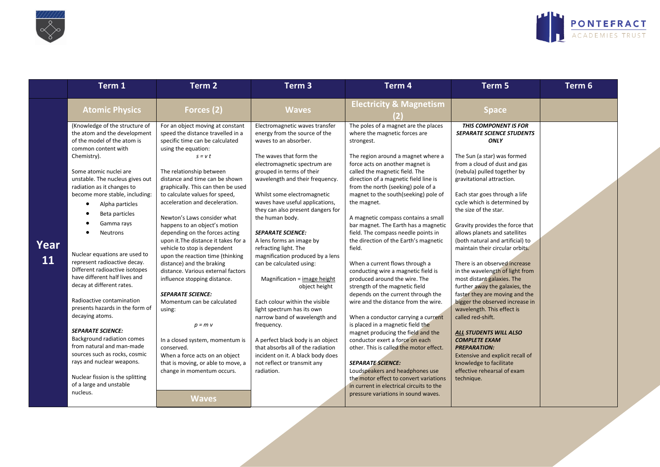



| Chemistry).                                | <b>Atomic Physics</b><br>(Knowledge of the structure of<br>the atom and the development<br>of the model of the atom is                                                                                                                                                                                                                                                                                                                                                                                                                                                                                                                                                                         | Forces $(2)$<br>For an object moving at constant                                                                                                                                                                                                                                                                                                                                                                                                                                                                                                                                                                                                                                                                                                                                                                                                          | <b>Waves</b>                                                                                                                                                                                                                                                                                                                                                                                                                                                                                                                                                                                                                                                                                                                                                                                                               | <b>Electricity &amp; Magnetism</b>                                                                                                                                                                                                                                                                                                                                                                                                                                                                                                                                                                                                                                                                                                                                                                                                                                                                                                                                                                                                                                                                                                  |                                                                                                                                                                                                                                                                                                                                                                                                                                                                                                                                                                                                                                                                                                                                                                                                                                                                                           |  |
|--------------------------------------------|------------------------------------------------------------------------------------------------------------------------------------------------------------------------------------------------------------------------------------------------------------------------------------------------------------------------------------------------------------------------------------------------------------------------------------------------------------------------------------------------------------------------------------------------------------------------------------------------------------------------------------------------------------------------------------------------|-----------------------------------------------------------------------------------------------------------------------------------------------------------------------------------------------------------------------------------------------------------------------------------------------------------------------------------------------------------------------------------------------------------------------------------------------------------------------------------------------------------------------------------------------------------------------------------------------------------------------------------------------------------------------------------------------------------------------------------------------------------------------------------------------------------------------------------------------------------|----------------------------------------------------------------------------------------------------------------------------------------------------------------------------------------------------------------------------------------------------------------------------------------------------------------------------------------------------------------------------------------------------------------------------------------------------------------------------------------------------------------------------------------------------------------------------------------------------------------------------------------------------------------------------------------------------------------------------------------------------------------------------------------------------------------------------|-------------------------------------------------------------------------------------------------------------------------------------------------------------------------------------------------------------------------------------------------------------------------------------------------------------------------------------------------------------------------------------------------------------------------------------------------------------------------------------------------------------------------------------------------------------------------------------------------------------------------------------------------------------------------------------------------------------------------------------------------------------------------------------------------------------------------------------------------------------------------------------------------------------------------------------------------------------------------------------------------------------------------------------------------------------------------------------------------------------------------------------|-------------------------------------------------------------------------------------------------------------------------------------------------------------------------------------------------------------------------------------------------------------------------------------------------------------------------------------------------------------------------------------------------------------------------------------------------------------------------------------------------------------------------------------------------------------------------------------------------------------------------------------------------------------------------------------------------------------------------------------------------------------------------------------------------------------------------------------------------------------------------------------------|--|
|                                            |                                                                                                                                                                                                                                                                                                                                                                                                                                                                                                                                                                                                                                                                                                |                                                                                                                                                                                                                                                                                                                                                                                                                                                                                                                                                                                                                                                                                                                                                                                                                                                           |                                                                                                                                                                                                                                                                                                                                                                                                                                                                                                                                                                                                                                                                                                                                                                                                                            |                                                                                                                                                                                                                                                                                                                                                                                                                                                                                                                                                                                                                                                                                                                                                                                                                                                                                                                                                                                                                                                                                                                                     | <b>Space</b>                                                                                                                                                                                                                                                                                                                                                                                                                                                                                                                                                                                                                                                                                                                                                                                                                                                                              |  |
| $\bullet$<br>Year<br><b>11</b><br>nucleus. | common content with<br>Some atomic nuclei are<br>unstable. The nucleus gives out<br>radiation as it changes to<br>become more stable, including:<br>Alpha particles<br>Beta particles<br>Gamma rays<br>Neutrons<br>Nuclear equations are used to<br>represent radioactive decay.<br>Different radioactive isotopes<br>have different half lives and<br>decay at different rates.<br>Radioactive contamination<br>presents hazards in the form of<br>decaying atoms.<br><b>SEPARATE SCIENCE:</b><br><b>Background radiation comes</b><br>from natural and man-made<br>sources such as rocks, cosmic<br>rays and nuclear weapons.<br>Nuclear fission is the splitting<br>of a large and unstable | speed the distance travelled in a<br>specific time can be calculated<br>using the equation:<br>$s = v t$<br>The relationship between<br>distance and time can be shown<br>graphically. This can then be used<br>to calculate values for speed,<br>acceleration and deceleration.<br>Newton's Laws consider what<br>happens to an object's motion<br>depending on the forces acting<br>upon it. The distance it takes for a<br>vehicle to stop is dependent<br>upon the reaction time (thinking<br>distance) and the braking<br>distance. Various external factors<br>influence stopping distance.<br><b>SEPARATE SCIENCE:</b><br>Momentum can be calculated<br>using:<br>$p = m$ v<br>In a closed system, momentum is<br>conserved.<br>When a force acts on an object<br>that is moving, or able to move, a<br>change in momentum occurs.<br><b>Waves</b> | Electromagnetic waves transfer<br>energy from the source of the<br>waves to an absorber.<br>The waves that form the<br>electromagnetic spectrum are<br>grouped in terms of their<br>wavelength and their frequency.<br>Whilst some electromagnetic<br>waves have useful applications,<br>they can also present dangers for<br>the human body.<br><b>SEPARATE SCIENCE:</b><br>A lens forms an image by<br>refracting light. The<br>magnification produced by a lens<br>can be calculated using:<br>Magnification = image height<br>object height<br>Each colour within the visible<br>light spectrum has its own<br>narrow band of wavelength and<br>frequency.<br>A perfect black body is an object<br>that absorbs all of the radiation<br>incident on it. A black body does<br>not reflect or transmit any<br>radiation. | The poles of a magnet are the places<br>where the magnetic forces are<br>strongest.<br>The region around a magnet where a<br>force acts on another magnet is<br>called the magnetic field. The<br>direction of a magnetic field line is<br>from the north (seeking) pole of a<br>magnet to the south(seeking) pole of<br>the magnet.<br>A magnetic compass contains a small<br>bar magnet. The Earth has a magnetic<br>field. The compass needle points in<br>the direction of the Earth's magnetic<br>field.<br>When a current flows through a<br>conducting wire a magnetic field is<br>produced around the wire. The<br>strength of the magnetic field<br>depends on the current through the<br>wire and the distance from the wire.<br>When a conductor carrying a current<br>is placed in a magnetic field the<br>magnet producing the field and the<br>conductor exert a force on each<br>other. This is called the motor effect.<br><b>SEPARATE SCIENCE:</b><br>Loudspeakers and headphones use<br>the motor effect to convert variations<br>in current in electrical circuits to the<br>pressure variations in sound waves. | <b>THIS COMPONENT IS FOR</b><br><b>SEPARATE SCIENCE STUDENTS</b><br>ONLY<br>The Sun (a star) was formed<br>from a cloud of dust and gas<br>(nebula) pulled together by<br>gravitational attraction.<br>Each star goes through a life<br>cycle which is determined by<br>the size of the star.<br>Gravity provides the force that<br>allows planets and satellites<br>(both natural and artificial) to<br>maintain their circular orbits.<br>There is an observed increase<br>in the wavelength of light from<br>most distant galaxies. The<br>further away the galaxies, the<br>faster they are moving and the<br>bigger the observed increase in<br>wavelength. This effect is<br>called red-shift.<br>ALL STUDENTS WILL ALSO<br><b>COMPLETE EXAM</b><br><b>PREPARATION:</b><br>Extensive and explicit recall of<br>knowledge to facilitate<br>effective rehearsal of exam<br>technique. |  |